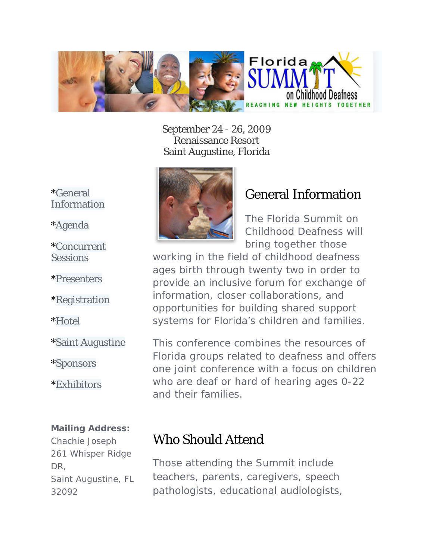

September 24 - 26, 2009 Renaissance Resort Saint Augustine, Florida



\*[Agenda](http://www.floridasummitonchildhooddeafness.com/agenda.php)

\*[Concurrent](http://www.floridasummitonchildhooddeafness.com/sessions.php)  **Sessions** 

\*[Presenters](http://www.floridasummitonchildhooddeafness.com/presenters.php)

\*[Registration](http://www.floridasummitonchildhooddeafness.com/registration.php) 

\*[Hotel](http://www.floridasummitonchildhooddeafness.com/hotel.php)

\*[Saint Augustine](http://www.floridasummitonchildhooddeafness.com/st_augustine.php) 

\*[Sponsors](http://www.floridasummitonchildhooddeafness.com/sponsors.php) 

\*[Exhibitors](http://www.floridasummitonchildhooddeafness.com/exhibitors.php)

#### **Mailing Address:**

Chachie Joseph 261 Whisper Ridge DR, Saint Augustine, FL 32092



## General Information

The Florida Summit on Childhood Deafness will bring together those

working in the field of childhood deafness ages birth through twenty two in order to provide an inclusive forum for exchange of information, closer collaborations, and opportunities for building shared support systems for Florida's children and families.

This conference combines the resources of Florida groups related to deafness and offers one joint conference with a focus on children who are deaf or hard of hearing ages 0-22 and their families.

# Who Should Attend

Those attending the Summit include teachers, parents, caregivers, speech pathologists, educational audiologists,